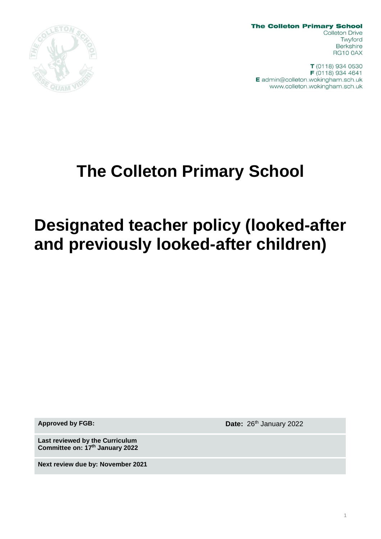

**The Colleton Primary School Colleton Drive** Twyford **Berkshire RG10 0AX** 

T (0118) 934 0530 F (0118) 934 4641 E admin@colleton.wokingham.sch.uk www.colleton.wokingham.sch.uk

# **The Colleton Primary School**

# **Designated teacher policy (looked-after and previously looked-after children)**

**Approved by FGB: Date:** 26th January 2022

**Last reviewed by the Curriculum Committee on: 17th January 2022**

**Next review due by: November 2021**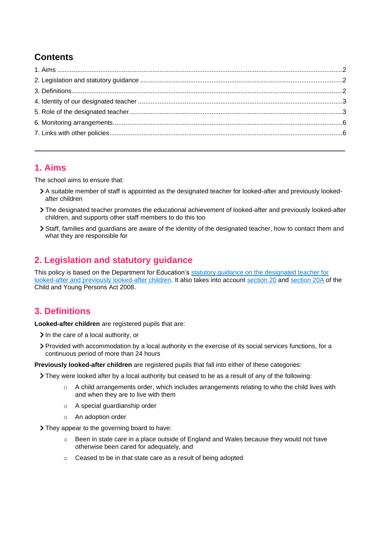# **Contents**

## <span id="page-1-0"></span>**1. Aims**

The school aims to ensure that:

- A suitable member of staff is appointed as the designated teacher for looked-after and previously lookedafter children
- The designated teacher promotes the educational achievement of looked-after and previously looked-after children, and supports other staff members to do this too
- Staff, families and guardians are aware of the identity of the designated teacher, how to contact them and what they are responsible for

# <span id="page-1-1"></span>**2. Legislation and statutory guidance**

This policy is based on the Department for Education's [statutory guidance on the designated teacher for](https://www.gov.uk/government/publications/designated-teacher-for-looked-after-children)  [looked-after and previously looked-after children.](https://www.gov.uk/government/publications/designated-teacher-for-looked-after-children) It also takes into accoun[t section 20](http://www.legislation.gov.uk/ukpga/2008/23/section/20) an[d section 20A](http://www.legislation.gov.uk/ukpga/2008/23/section/20A) of the Child and Young Persons Act 2008.

## <span id="page-1-2"></span>**3. Definitions**

**Looked-after children** are registered pupils that are:

- $\geq$  In the care of a local authority, or
- Provided with accommodation by a local authority in the exercise of its social services functions, for a continuous period of more than 24 hours

**Previously looked-after children** are registered pupils that fall into either of these categories:

- They were looked after by a local authority but ceased to be as a result of any of the following:
	- o A child arrangements order, which includes arrangements relating to who the child lives with and when they are to live with them
	- o A special guardianship order
	- o An adoption order
- > They appear to the governing board to have:
	- $\circ$  Been in state care in a place outside of England and Wales because they would not have otherwise been cared for adequately, and
	- o Ceased to be in that state care as a result of being adopted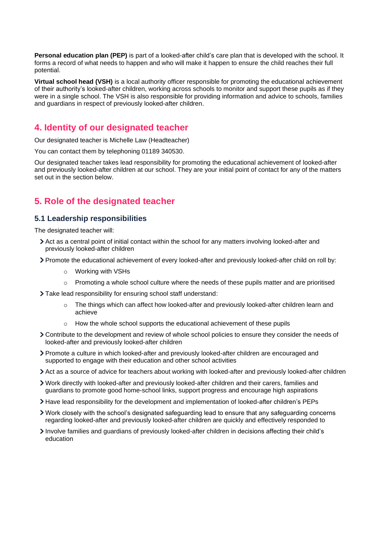**Personal education plan (PEP)** is part of a looked-after child's care plan that is developed with the school. It forms a record of what needs to happen and who will make it happen to ensure the child reaches their full potential.

**Virtual school head (VSH)** is a local authority officer responsible for promoting the educational achievement of their authority's looked-after children, working across schools to monitor and support these pupils as if they were in a single school. The VSH is also responsible for providing information and advice to schools, families and guardians in respect of previously looked-after children.

### <span id="page-2-0"></span>**4. Identity of our designated teacher**

Our designated teacher is Michelle Law (Headteacher)

You can contact them by telephoning 01189 340530.

Our designated teacher takes lead responsibility for promoting the educational achievement of looked-after and previously looked-after children at our school. They are your initial point of contact for any of the matters set out in the section below.

### <span id="page-2-1"></span>**5. Role of the designated teacher**

#### **5.1 Leadership responsibilities**

The designated teacher will:

- Act as a central point of initial contact within the school for any matters involving looked-after and previously looked-after children
- Promote the educational achievement of every looked-after and previously looked-after child on roll by:
	- o Working with VSHs
	- $\circ$  Promoting a whole school culture where the needs of these pupils matter and are prioritised
- Take lead responsibility for ensuring school staff understand:
	- $\circ$  The things which can affect how looked-after and previously looked-after children learn and achieve
	- $\circ$  How the whole school supports the educational achievement of these pupils
- Contribute to the development and review of whole school policies to ensure they consider the needs of looked-after and previously looked-after children
- Promote a culture in which looked-after and previously looked-after children are encouraged and supported to engage with their education and other school activities
- Act as a source of advice for teachers about working with looked-after and previously looked-after children
- Work directly with looked-after and previously looked-after children and their carers, families and guardians to promote good home-school links, support progress and encourage high aspirations
- Have lead responsibility for the development and implementation of looked-after children's PEPs
- Work closely with the school's designated safeguarding lead to ensure that any safeguarding concerns regarding looked-after and previously looked-after children are quickly and effectively responded to
- Involve families and guardians of previously looked-after children in decisions affecting their child's education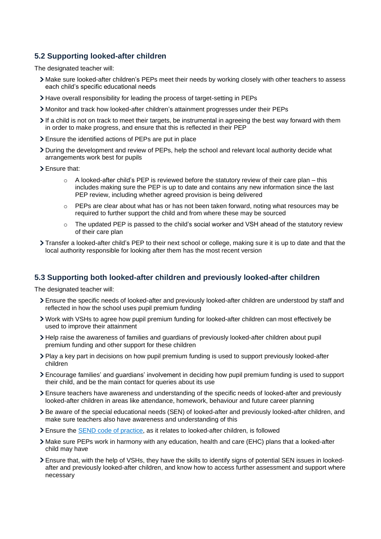#### **5.2 Supporting looked-after children**

The designated teacher will:

- Make sure looked-after children's PEPs meet their needs by working closely with other teachers to assess each child's specific educational needs
- Have overall responsibility for leading the process of target-setting in PEPs
- Monitor and track how looked-after children's attainment progresses under their PEPs
- If a child is not on track to meet their targets, be instrumental in agreeing the best way forward with them in order to make progress, and ensure that this is reflected in their PEP
- Ensure the identified actions of PEPs are put in place
- During the development and review of PEPs, help the school and relevant local authority decide what arrangements work best for pupils
- > Ensure that:
	- o A looked-after child's PEP is reviewed before the statutory review of their care plan this includes making sure the PEP is up to date and contains any new information since the last PEP review, including whether agreed provision is being delivered
	- o PEPs are clear about what has or has not been taken forward, noting what resources may be required to further support the child and from where these may be sourced
	- $\circ$  The updated PEP is passed to the child's social worker and VSH ahead of the statutory review of their care plan
- Transfer a looked-after child's PEP to their next school or college, making sure it is up to date and that the local authority responsible for looking after them has the most recent version

#### **5.3 Supporting both looked-after children and previously looked-after children**

The designated teacher will:

- Ensure the specific needs of looked-after and previously looked-after children are understood by staff and reflected in how the school uses pupil premium funding
- Work with VSHs to agree how pupil premium funding for looked-after children can most effectively be used to improve their attainment
- Help raise the awareness of families and guardians of previously looked-after children about pupil premium funding and other support for these children
- Play a key part in decisions on how pupil premium funding is used to support previously looked-after children
- Encourage families' and guardians' involvement in deciding how pupil premium funding is used to support their child, and be the main contact for queries about its use
- Ensure teachers have awareness and understanding of the specific needs of looked-after and previously looked-after children in areas like attendance, homework, behaviour and future career planning
- Be aware of the special educational needs (SEN) of looked-after and previously looked-after children, and make sure teachers also have awareness and understanding of this
- > Ensure the **SEND** code of practice, as it relates to looked-after children, is followed
- Make sure PEPs work in harmony with any education, health and care (EHC) plans that a looked-after child may have
- Ensure that, with the help of VSHs, they have the skills to identify signs of potential SEN issues in lookedafter and previously looked-after children, and know how to access further assessment and support where necessary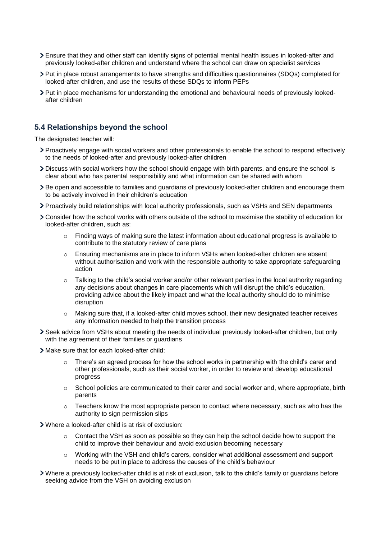- Ensure that they and other staff can identify signs of potential mental health issues in looked-after and previously looked-after children and understand where the school can draw on specialist services
- Put in place robust arrangements to have strengths and difficulties questionnaires (SDQs) completed for looked-after children, and use the results of these SDQs to inform PEPs
- Put in place mechanisms for understanding the emotional and behavioural needs of previously lookedafter children

#### **5.4 Relationships beyond the school**

The designated teacher will:

- Proactively engage with social workers and other professionals to enable the school to respond effectively to the needs of looked-after and previously looked-after children
- Discuss with social workers how the school should engage with birth parents, and ensure the school is clear about who has parental responsibility and what information can be shared with whom
- Be open and accessible to families and guardians of previously looked-after children and encourage them to be actively involved in their children's education
- Proactively build relationships with local authority professionals, such as VSHs and SEN departments
- Consider how the school works with others outside of the school to maximise the stability of education for looked-after children, such as:
	- o Finding ways of making sure the latest information about educational progress is available to contribute to the statutory review of care plans
	- o Ensuring mechanisms are in place to inform VSHs when looked-after children are absent without authorisation and work with the responsible authority to take appropriate safeguarding action
	- $\circ$  Talking to the child's social worker and/or other relevant parties in the local authority regarding any decisions about changes in care placements which will disrupt the child's education, providing advice about the likely impact and what the local authority should do to minimise disruption
	- $\circ$  Making sure that, if a looked-after child moves school, their new designated teacher receives any information needed to help the transition process
- Seek advice from VSHs about meeting the needs of individual previously looked-after children, but only with the agreement of their families or guardians
- Make sure that for each looked-after child:
	- There's an agreed process for how the school works in partnership with the child's carer and other professionals, such as their social worker, in order to review and develop educational progress
	- $\circ$  School policies are communicated to their carer and social worker and, where appropriate, birth parents
	- $\circ$  Teachers know the most appropriate person to contact where necessary, such as who has the authority to sign permission slips
- Where a looked-after child is at risk of exclusion:
	- $\circ$  Contact the VSH as soon as possible so they can help the school decide how to support the child to improve their behaviour and avoid exclusion becoming necessary
	- $\circ$  Working with the VSH and child's carers, consider what additional assessment and support needs to be put in place to address the causes of the child's behaviour
- Where a previously looked-after child is at risk of exclusion, talk to the child's family or guardians before seeking advice from the VSH on avoiding exclusion